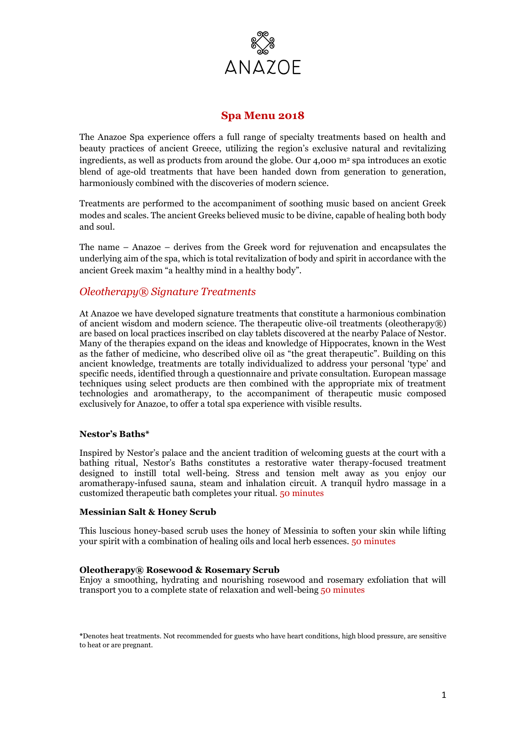

# **Spa Menu 2018**

The Anazoe Spa experience offers a full range of specialty treatments based on health and beauty practices of ancient Greece, utilizing the region's exclusive natural and revitalizing ingredients, as well as products from around the globe. Our  $4,000$  m<sup>2</sup> spa introduces an exotic blend of age-old treatments that have been handed down from generation to generation, harmoniously combined with the discoveries of modern science.

Treatments are performed to the accompaniment of soothing music based on ancient Greek modes and scales. The ancient Greeks believed music to be divine, capable of healing both body and soul.

The name – Anazoe – derives from the Greek word for rejuvenation and encapsulates the underlying aim of the spa, which is total revitalization of body and spirit in accordance with the ancient Greek maxim "a healthy mind in a healthy body".

# *Oleotherapy® Signature Treatments*

At Anazoe we have developed signature treatments that constitute a harmonious combination of ancient wisdom and modern science. The therapeutic olive-oil treatments (oleotherapy*®*) are based on local practices inscribed on clay tablets discovered at the nearby Palace of Nestor. Many of the therapies expand on the ideas and knowledge of Hippocrates, known in the West as the father of medicine, who described olive oil as "the great therapeutic". Building on this ancient knowledge, treatments are totally individualized to address your personal 'type' and specific needs, identified through a questionnaire and private consultation. European massage techniques using select products are then combined with the appropriate mix of treatment technologies and aromatherapy, to the accompaniment of therapeutic music composed exclusively for Anazoe, to offer a total spa experience with visible results.

#### **Nestor's Baths\***

Inspired by Nestor's palace and the ancient tradition of welcoming guests at the court with a bathing ritual, Nestor's Baths constitutes a restorative water therapy-focused treatment designed to instill total well-being. Stress and tension melt away as you enjoy our aromatherapy-infused sauna, steam and inhalation circuit. A tranquil hydro massage in a customized therapeutic bath completes your ritual. 50 minutes

#### **Messinian Salt & Honey Scrub**

This luscious honey-based scrub uses the honey of Messinia to soften your skin while lifting your spirit with a combination of healing oils and local herb essences. 50 minutes

## **Oleotherapy® Rosewood & Rosemary Scrub**

Enjoy a smoothing, hydrating and nourishing rosewood and rosemary exfoliation that will transport you to a complete state of relaxation and well-being 50 minutes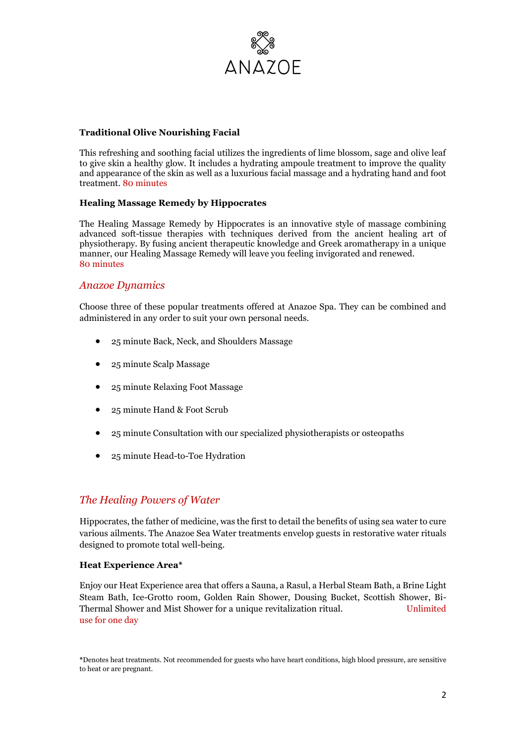

#### **Traditional Olive Nourishing Facial**

This refreshing and soothing facial utilizes the ingredients of lime blossom, sage and olive leaf to give skin a healthy glow. It includes a hydrating ampoule treatment to improve the quality and appearance of the skin as well as a luxurious facial massage and a hydrating hand and foot treatment. 80 minutes

### **Healing Massage Remedy by Hippocrates**

The Healing Massage Remedy by Hippocrates is an innovative style of massage combining advanced soft-tissue therapies with techniques derived from the ancient healing art of physiotherapy. By fusing ancient therapeutic knowledge and Greek aromatherapy in a unique manner, our Healing Massage Remedy will leave you feeling invigorated and renewed. 80 minutes

## *Anazoe Dynamics*

Choose three of these popular treatments offered at Anazoe Spa. They can be combined and administered in any order to suit your own personal needs.

- 25 minute Back, Neck, and Shoulders Massage
- 25 minute Scalp Massage
- 25 minute Relaxing Foot Massage
- 25 minute Hand & Foot Scrub
- 25 minute Consultation with our specialized physiotherapists or osteopaths
- 25 minute Head-to-Toe Hydration

# *The Healing Powers of Water*

Hippocrates, the father of medicine, was the first to detail the benefits of using sea water to cure various ailments. The Anazoe Sea Water treatments envelop guests in restorative water rituals designed to promote total well-being.

#### **Heat Experience Area\***

Enjoy our Heat Experience area that offers a Sauna, a Rasul, a Herbal Steam Bath, a Brine Light Steam Bath, Ice-Grotto room, Golden Rain Shower, Dousing Bucket, Scottish Shower, Bi-Thermal Shower and Mist Shower for a unique revitalization ritual. Unlimited use for one day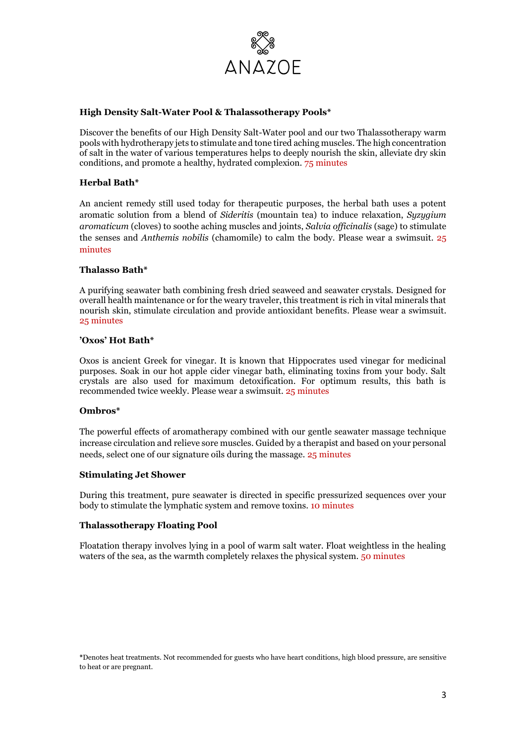

### **High Density Salt-Water Pool & Thalassotherapy Pools\***

Discover the benefits of our High Density Salt-Water pool and our two Thalassotherapy warm pools with hydrotherapy jets to stimulate and tone tired aching muscles. The high concentration of salt in the water of various temperatures helps to deeply nourish the skin, alleviate dry skin conditions, and promote a healthy, hydrated complexion. 75 minutes

### **Herbal Bath\***

An ancient remedy still used today for therapeutic purposes, the herbal bath uses a potent aromatic solution from a blend of *Sideritis* (mountain tea) to induce relaxation, *Syzygium aromaticum* (cloves) to soothe aching muscles and joints, *Salvia officinalis* (sage) to stimulate the senses and *Anthemis nobilis* (chamomile) to calm the body. Please wear a swimsuit. 25 minutes

### **Thalasso Bath\***

A purifying seawater bath combining fresh dried seaweed and seawater crystals. Designed for overall health maintenance or for the weary traveler, this treatment is rich in vital minerals that nourish skin, stimulate circulation and provide antioxidant benefits. Please wear a swimsuit. 25 minutes

### **'Oxos' Hot Bath\***

Oxos is ancient Greek for vinegar. It is known that Hippocrates used vinegar for medicinal purposes. Soak in our hot apple cider vinegar bath, eliminating toxins from your body. Salt crystals are also used for maximum detoxification. For optimum results, this bath is recommended twice weekly. Please wear a swimsuit. 25 minutes

#### **Ombros\***

The powerful effects of aromatherapy combined with our gentle seawater massage technique increase circulation and relieve sore muscles. Guided by a therapist and based on your personal needs, select one of our signature oils during the massage. 25 minutes

#### **Stimulating Jet Shower**

During this treatment, pure seawater is directed in specific pressurized sequences over your body to stimulate the lymphatic system and remove toxins. 10 minutes

#### **Thalassotherapy Floating Pool**

Floatation therapy involves lying in a pool of warm salt water. Float weightless in the healing waters of the sea, as the warmth completely relaxes the physical system. 50 minutes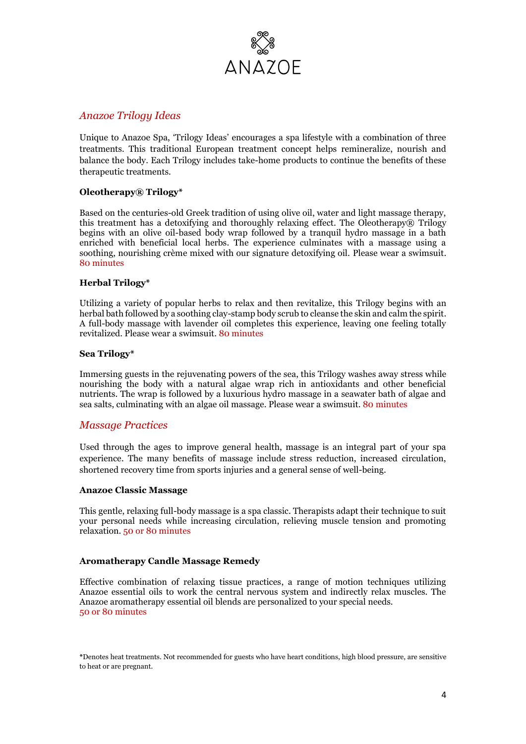

## *Anazoe Trilogy Ideas*

Unique to Anazoe Spa, 'Trilogy Ideas' encourages a spa lifestyle with a combination of three treatments. This traditional European treatment concept helps remineralize, nourish and balance the body. Each Trilogy includes take-home products to continue the benefits of these therapeutic treatments.

### **Oleotherapy® Trilogy\***

Based on the centuries-old Greek tradition of using olive oil, water and light massage therapy, this treatment has a detoxifying and thoroughly relaxing effect. The Oleotherapy $\mathcal{R}$  Trilogy begins with an olive oil-based body wrap followed by a tranquil hydro massage in a bath enriched with beneficial local herbs. The experience culminates with a massage using a soothing, nourishing crème mixed with our signature detoxifying oil. Please wear a swimsuit. 80 minutes

#### **Herbal Trilogy\***

Utilizing a variety of popular herbs to relax and then revitalize, this Trilogy begins with an herbal bath followed by a soothing clay-stamp body scrub to cleanse the skin and calm the spirit. A full-body massage with lavender oil completes this experience, leaving one feeling totally revitalized. Please wear a swimsuit. 80 minutes

### **Sea Trilogy\***

Immersing guests in the rejuvenating powers of the sea, this Trilogy washes away stress while nourishing the body with a natural algae wrap rich in antioxidants and other beneficial nutrients. The wrap is followed by a luxurious hydro massage in a seawater bath of algae and sea salts, culminating with an algae oil massage. Please wear a swimsuit. 80 minutes

## *Massage Practices*

Used through the ages to improve general health, massage is an integral part of your spa experience. The many benefits of massage include stress reduction, increased circulation, shortened recovery time from sports injuries and a general sense of well-being.

#### **Anazoe Classic Massage**

This gentle, relaxing full-body massage is a spa classic. Therapists adapt their technique to suit your personal needs while increasing circulation, relieving muscle tension and promoting relaxation. 50 or 80 minutes

#### **Aromatherapy Candle Massage Remedy**

Effective combination of relaxing tissue practices, a range of motion techniques utilizing Anazoe essential oils to work the central nervous system and indirectly relax muscles. The Anazoe aromatherapy essential oil blends are personalized to your special needs. 50 or 80 minutes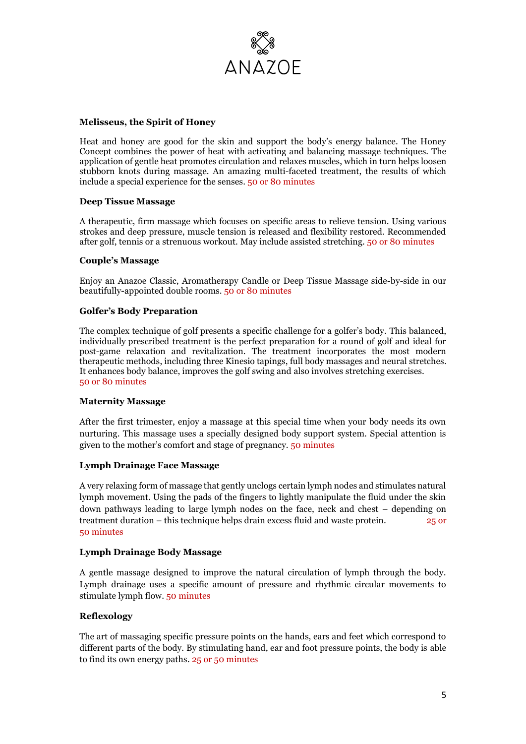

### **Melisseus, the Spirit of Honey**

Heat and honey are good for the skin and support the body's energy balance. The Honey Concept combines the power of heat with activating and balancing massage techniques. The application of gentle heat promotes circulation and relaxes muscles, which in turn helps loosen stubborn knots during massage. An amazing multi-faceted treatment, the results of which include a special experience for the senses. 50 or 80 minutes

#### **Deep Tissue Massage**

A therapeutic, firm massage which focuses on specific areas to relieve tension. Using various strokes and deep pressure, muscle tension is released and flexibility restored. Recommended after golf, tennis or a strenuous workout. May include assisted stretching. 50 or 80 minutes

#### **Couple's Massage**

Enjoy an Anazoe Classic, Aromatherapy Candle or Deep Tissue Massage side-by-side in our beautifully-appointed double rooms. 50 or 80 minutes

#### **Golfer's Body Preparation**

The complex technique of golf presents a specific challenge for a golfer's body. This balanced, individually prescribed treatment is the perfect preparation for a round of golf and ideal for post-game relaxation and revitalization. The treatment incorporates the most modern therapeutic methods, including three Kinesio tapings, full body massages and neural stretches. It enhances body balance, improves the golf swing and also involves stretching exercises. 50 or 80 minutes

#### **Maternity Massage**

After the first trimester, enjoy a massage at this special time when your body needs its own nurturing. This massage uses a specially designed body support system. Special attention is given to the mother's comfort and stage of pregnancy. 50 minutes

### **Lymph Drainage Face Massage**

A very relaxing form of massage that gently unclogs certain lymph nodes and stimulates natural lymph movement. Using the pads of the fingers to lightly manipulate the fluid under the skin down pathways leading to large lymph nodes on the face, neck and chest – depending on treatment duration – this technique helps drain excess fluid and waste protein. 25 or 50 minutes

#### **Lymph Drainage Body Massage**

A gentle massage designed to improve the natural circulation of lymph through the body. Lymph drainage uses a specific amount of pressure and rhythmic circular movements to stimulate lymph flow. 50 minutes

#### **Reflexology**

The art of massaging specific pressure points on the hands, ears and feet which correspond to different parts of the body. By stimulating hand, ear and foot pressure points, the body is able to find its own energy paths. 25 or 50 minutes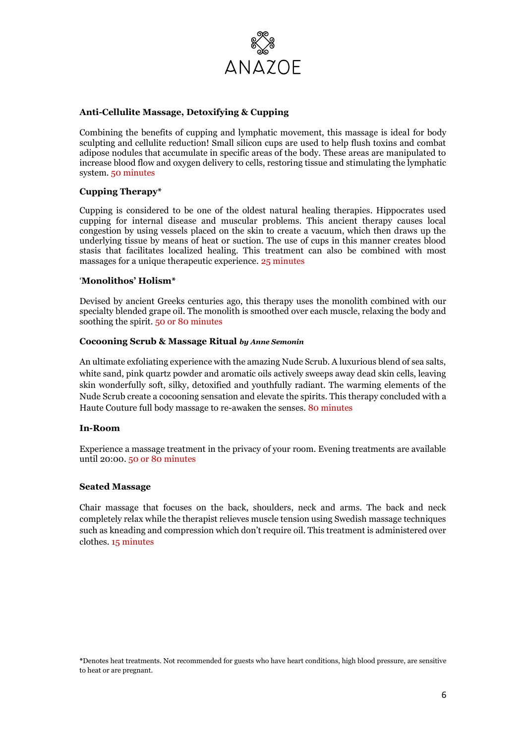

### **Anti-Cellulite Massage, Detoxifying & Cupping**

Combining the benefits of cupping and lymphatic movement, this massage is ideal for body sculpting and cellulite reduction! Small silicon cups are used to help flush toxins and combat adipose nodules that accumulate in specific areas of the body. These areas are manipulated to increase blood flow and oxygen delivery to cells, restoring tissue and stimulating the lymphatic system. 50 minutes

## **Cupping Therapy\***

Cupping is considered to be one of the oldest natural healing therapies. Hippocrates used cupping for internal disease and muscular problems. This ancient therapy causes local congestion by using vessels placed on the skin to create a vacuum, which then draws up the underlying tissue by means of heat or suction. The use of cups in this manner creates blood stasis that facilitates localized healing. This treatment can also be combined with most massages for a unique therapeutic experience. 25 minutes

#### '**Monolithos' Holism\***

Devised by ancient Greeks centuries ago, this therapy uses the monolith combined with our specialty blended grape oil. The monolith is smoothed over each muscle, relaxing the body and soothing the spirit. 50 or 80 minutes

#### **Cocooning Scrub & Massage Ritual** *by Anne Semonin*

An ultimate exfoliating experience with the amazing Nude Scrub. A luxurious blend of sea salts, white sand, pink quartz powder and aromatic oils actively sweeps away dead skin cells, leaving skin wonderfully soft, silky, detoxified and youthfully radiant. The warming elements of the Nude Scrub create a cocooning sensation and elevate the spirits. This therapy concluded with a Haute Couture full body massage to re-awaken the senses. 80 minutes

#### **In-Room**

Experience a massage treatment in the privacy of your room. Evening treatments are available until 20:00. 50 or 80 minutes

#### **Seated Massage**

Chair massage that focuses on the back, shoulders, neck and arms. The back and neck completely relax while the therapist relieves muscle tension using Swedish massage techniques such as kneading and compression which don't require oil. This treatment is administered over clothes. 15 minutes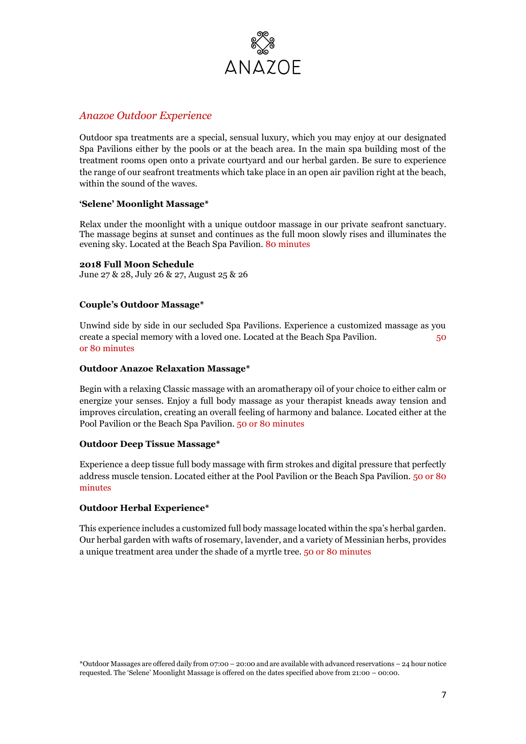

# *Anazoe Outdoor Experience*

Outdoor spa treatments are a special, sensual luxury, which you may enjoy at our designated Spa Pavilions either by the pools or at the beach area. In the main spa building most of the treatment rooms open onto a private courtyard and our herbal garden. Be sure to experience the range of our seafront treatments which take place in an open air pavilion right at the beach, within the sound of the waves.

## **'Selene' Moonlight Massage\***

Relax under the moonlight with a unique outdoor massage in our private seafront sanctuary. The massage begins at sunset and continues as the full moon slowly rises and illuminates the evening sky. Located at the Beach Spa Pavilion. 80 minutes

## **2018 Full Moon Schedule**

June 27 & 28, July 26 & 27, August 25 & 26

## **Couple's Outdoor Massage\***

Unwind side by side in our secluded Spa Pavilions. Experience a customized massage as you create a special memory with a loved one. Located at the Beach Spa Pavilion. 50 or 80 minutes

### **Outdoor Anazoe Relaxation Massage\***

Begin with a relaxing Classic massage with an aromatherapy oil of your choice to either calm or energize your senses. Enjoy a full body massage as your therapist kneads away tension and improves circulation, creating an overall feeling of harmony and balance. Located either at the Pool Pavilion or the Beach Spa Pavilion. 50 or 80 minutes

## **Outdoor Deep Tissue Massage\***

Experience a deep tissue full body massage with firm strokes and digital pressure that perfectly address muscle tension. Located either at the Pool Pavilion or the Beach Spa Pavilion. 50 or 80 minutes

## **Outdoor Herbal Experience\***

This experience includes a customized full body massage located within the spa's herbal garden. Our herbal garden with wafts of rosemary, lavender, and a variety of Messinian herbs, provides a unique treatment area under the shade of a myrtle tree. 50 or 80 minutes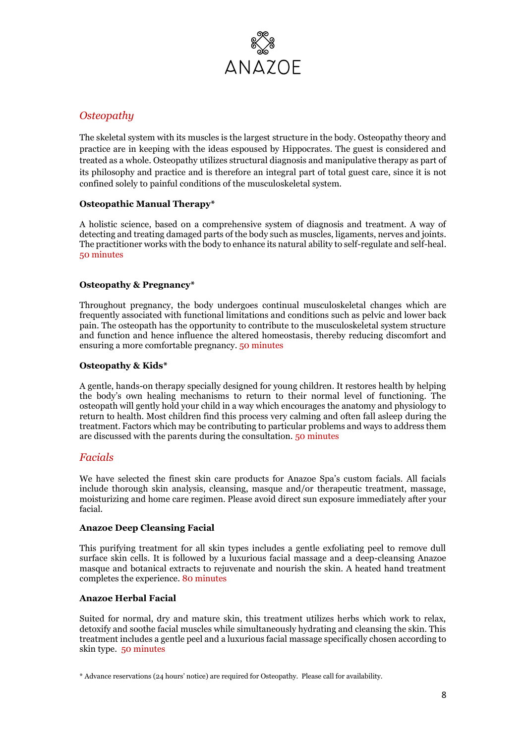

# *Osteopathy*

The skeletal system with its muscles is the largest structure in the body. Osteopathy theory and practice are in keeping with the ideas espoused by Hippocrates. The guest is considered and treated as a whole. Osteopathy utilizes structural diagnosis and manipulative therapy as part of its philosophy and practice and is therefore an integral part of total guest care, since it is not confined solely to painful conditions of the musculoskeletal system.

## **Osteopathic Manual Therapy\***

A holistic science, based on a comprehensive system of diagnosis and treatment. A way of detecting and treating damaged parts of the body such as muscles, ligaments, nerves and joints. The practitioner works with the body to enhance its natural ability to self-regulate and self-heal. 50 minutes

## **Osteopathy & Pregnancy\***

Throughout pregnancy, the body undergoes continual musculoskeletal changes which are frequently associated with functional limitations and conditions such as pelvic and lower back pain. The osteopath has the opportunity to contribute to the musculoskeletal system structure and function and hence influence the altered homeostasis, thereby reducing discomfort and ensuring a more comfortable pregnancy. 50 minutes

## **Osteopathy & Kids\***

A gentle, hands-on therapy specially designed for young children. It restores health by helping the body's own healing mechanisms to return to their normal level of functioning. The osteopath will gently hold your child in a way which encourages the anatomy and physiology to return to health. Most children find this process very calming and often fall asleep during the treatment. Factors which may be contributing to particular problems and ways to address them are discussed with the parents during the consultation. 50 minutes

# *Facials*

We have selected the finest skin care products for Anazoe Spa's custom facials. All facials include thorough skin analysis, cleansing, masque and/or therapeutic treatment, massage, moisturizing and home care regimen. Please avoid direct sun exposure immediately after your facial.

#### **Anazoe Deep Cleansing Facial**

This purifying treatment for all skin types includes a gentle exfoliating peel to remove dull surface skin cells. It is followed by a luxurious facial massage and a deep-cleansing Anazoe masque and botanical extracts to rejuvenate and nourish the skin. A heated hand treatment completes the experience. 80 minutes

## **Anazoe Herbal Facial**

Suited for normal, dry and mature skin, this treatment utilizes herbs which work to relax, detoxify and soothe facial muscles while simultaneously hydrating and cleansing the skin. This treatment includes a gentle peel and a luxurious facial massage specifically chosen according to skin type. 50 minutes

<sup>\*</sup> Advance reservations (24 hours' notice) are required for Osteopathy. Please call for availability.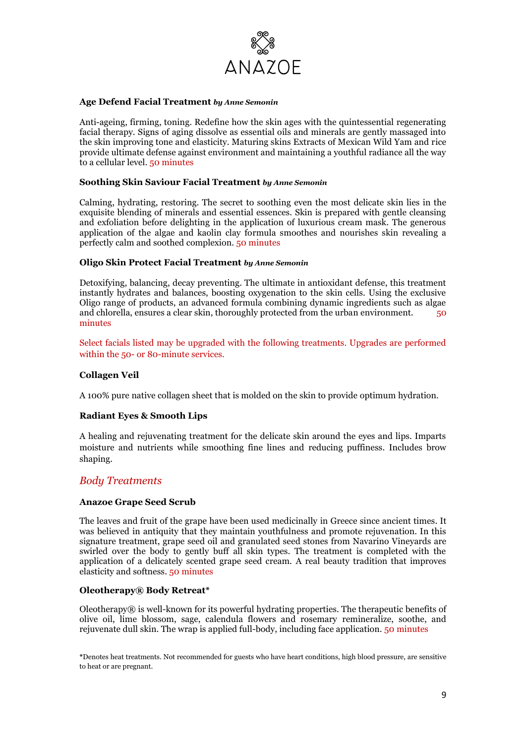

#### **Age Defend Facial Treatment** *by Anne Semonin*

Anti-ageing, firming, toning. Redefine how the skin ages with the quintessential regenerating facial therapy. Signs of aging dissolve as essential oils and minerals are gently massaged into the skin improving tone and elasticity. Maturing skins Extracts of Mexican Wild Yam and rice provide ultimate defense against environment and maintaining a youthful radiance all the way to a cellular level. 50 minutes

#### **Soothing Skin Saviour Facial Treatment** *by Anne Semonin*

Calming, hydrating, restoring. The secret to soothing even the most delicate skin lies in the exquisite blending of minerals and essential essences. Skin is prepared with gentle cleansing and exfoliation before delighting in the application of luxurious cream mask. The generous application of the algae and kaolin clay formula smoothes and nourishes skin revealing a perfectly calm and soothed complexion. 50 minutes

#### **Oligo Skin Protect Facial Treatment** *by Anne Semonin*

Detoxifying, balancing, decay preventing. The ultimate in antioxidant defense, this treatment instantly hydrates and balances, boosting oxygenation to the skin cells. Using the exclusive Oligo range of products, an advanced formula combining dynamic ingredients such as algae and chlorella, ensures a clear skin, thoroughly protected from the urban environment. 50 minutes

Select facials listed may be upgraded with the following treatments. Upgrades are performed within the 50- or 80-minute services.

#### **Collagen Veil**

A 100% pure native collagen sheet that is molded on the skin to provide optimum hydration.

#### **Radiant Eyes & Smooth Lips**

A healing and rejuvenating treatment for the delicate skin around the eyes and lips. Imparts moisture and nutrients while smoothing fine lines and reducing puffiness. Includes brow shaping.

## *Body Treatments*

#### **Anazoe Grape Seed Scrub**

The leaves and fruit of the grape have been used medicinally in Greece since ancient times. It was believed in antiquity that they maintain youthfulness and promote rejuvenation. In this signature treatment, grape seed oil and granulated seed stones from Navarino Vineyards are swirled over the body to gently buff all skin types. The treatment is completed with the application of a delicately scented grape seed cream. A real beauty tradition that improves elasticity and softness. 50 minutes

#### **Oleotherapy® Body Retreat\***

Oleotherapy $\mathcal{R}$  is well-known for its powerful hydrating properties. The therapeutic benefits of olive oil, lime blossom, sage, calendula flowers and rosemary remineralize, soothe, and rejuvenate dull skin. The wrap is applied full-body, including face application. 50 minutes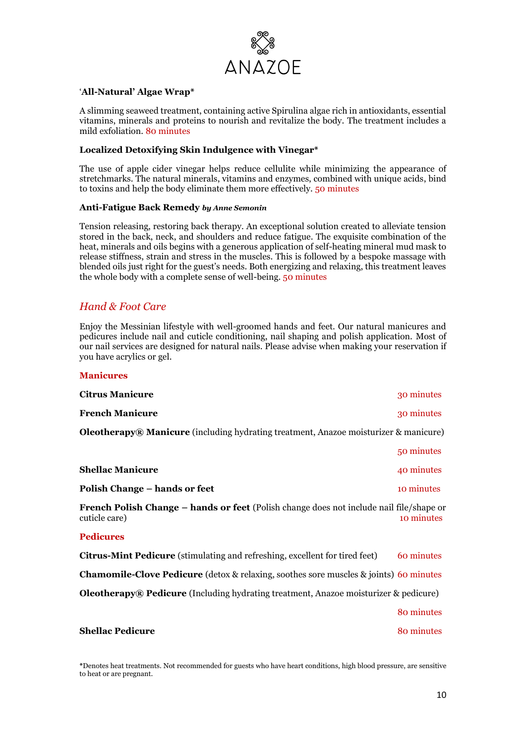

### '**All-Natural' Algae Wrap\***

A slimming seaweed treatment, containing active Spirulina algae rich in antioxidants, essential vitamins, minerals and proteins to nourish and revitalize the body. The treatment includes a mild exfoliation. 80 minutes

#### **Localized Detoxifying Skin Indulgence with Vinegar\***

The use of apple cider vinegar helps reduce cellulite while minimizing the appearance of stretchmarks. The natural minerals, vitamins and enzymes, combined with unique acids, bind to toxins and help the body eliminate them more effectively. 50 minutes

#### **Anti-Fatigue Back Remedy** *by Anne Semonin*

Tension releasing, restoring back therapy. An exceptional solution created to alleviate tension stored in the back, neck, and shoulders and reduce fatigue. The exquisite combination of the heat, minerals and oils begins with a generous application of self-heating mineral mud mask to release stiffness, strain and stress in the muscles. This is followed by a bespoke massage with blended oils just right for the guest's needs. Both energizing and relaxing, this treatment leaves the whole body with a complete sense of well-being. 50 minutes

# *Hand & Foot Care*

**Manicures**

Enjoy the Messinian lifestyle with well-groomed hands and feet. Our natural manicures and pedicures include nail and cuticle conditioning, nail shaping and polish application. Most of our nail services are designed for natural nails. Please advise when making your reservation if you have acrylics or gel.

| <b>Manicures</b>                                                                                                  |            |
|-------------------------------------------------------------------------------------------------------------------|------------|
| <b>Citrus Manicure</b>                                                                                            | 30 minutes |
| <b>French Manicure</b>                                                                                            | 30 minutes |
| <b>Oleotherapy® Manicure</b> (including hydrating treatment, Anazoe moisturizer & manicure)                       |            |
|                                                                                                                   | 50 minutes |
| <b>Shellac Manicure</b>                                                                                           | 40 minutes |
| Polish Change – hands or feet                                                                                     | 10 minutes |
| French Polish Change - hands or feet (Polish change does not include nail file/shape or<br>cuticle care)          | 10 minutes |
| <b>Pedicures</b>                                                                                                  |            |
| <b>Citrus-Mint Pedicure</b> (stimulating and refreshing, excellent for tired feet)                                | 60 minutes |
| <b>Chamomile-Clove Pedicure</b> (detox & relaxing, soothes sore muscles $\&$ joints) 60 minutes                   |            |
| <b>Oleotherapy® Pedicure</b> (Including hydrating treatment, Anazoe moisturizer & pedicure)                       |            |
|                                                                                                                   | 80 minutes |
| <b>Shellac Pedicure</b>                                                                                           | 80 minutes |
|                                                                                                                   |            |
| *Denotes heet treetments. Not recommended for guests who heart each dealtiens, high blood pressure, are sensitive |            |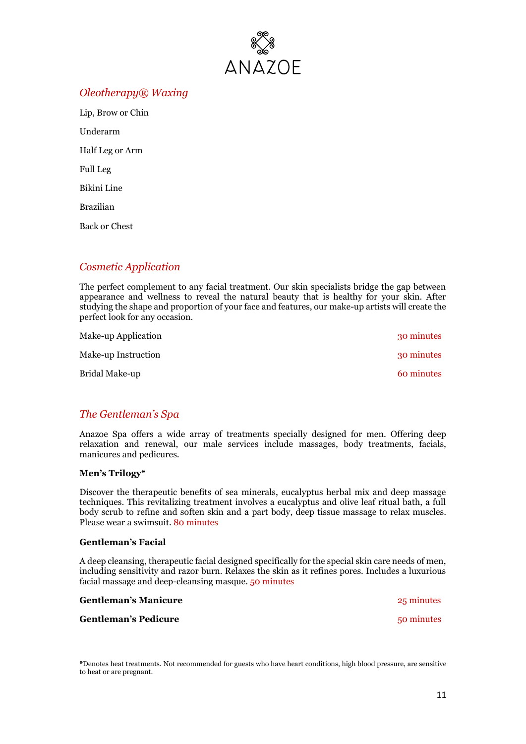

# *Oleotherapy® Waxing*

Lip, Brow or Chin Underarm Half Leg or Arm Full Leg Bikini Line Brazilian Back or Chest

# *Cosmetic Application*

The perfect complement to any facial treatment. Our skin specialists bridge the gap between appearance and wellness to reveal the natural beauty that is healthy for your skin. After studying the shape and proportion of your face and features, our make-up artists will create the perfect look for any occasion.

| Make-up Application | 30 minutes |
|---------------------|------------|
| Make-up Instruction | 30 minutes |
| Bridal Make-up      | 60 minutes |

# *The Gentleman's Spa*

Anazoe Spa offers a wide array of treatments specially designed for men. Offering deep relaxation and renewal, our male services include massages, body treatments, facials, manicures and pedicures.

## **Men's Trilogy\***

Discover the therapeutic benefits of sea minerals, eucalyptus herbal mix and deep massage techniques. This revitalizing treatment involves a eucalyptus and olive leaf ritual bath, a full body scrub to refine and soften skin and a part body, deep tissue massage to relax muscles. Please wear a swimsuit. 80 minutes

#### **Gentleman's Facial**

A deep cleansing, therapeutic facial designed specifically for the special skin care needs of men, including sensitivity and razor burn. Relaxes the skin as it refines pores. Includes a luxurious facial massage and deep-cleansing masque. 50 minutes

| <b>Gentleman's Manicure</b> | 25 minutes |
|-----------------------------|------------|
| <b>Gentleman's Pedicure</b> | 50 minutes |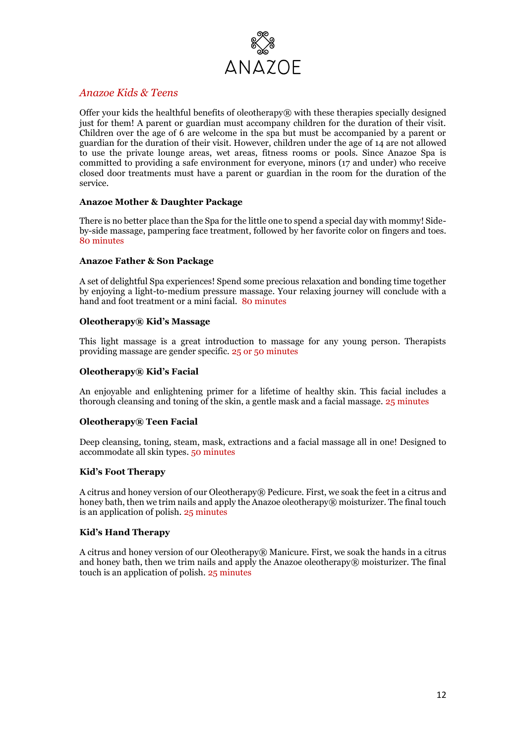

# *Anazoe Kids & Teens*

Offer your kids the healthful benefits of oleotherapy $\mathcal{R}$  with these therapies specially designed just for them! A parent or guardian must accompany children for the duration of their visit. Children over the age of 6 are welcome in the spa but must be accompanied by a parent or guardian for the duration of their visit. However, children under the age of 14 are not allowed to use the private lounge areas, wet areas, fitness rooms or pools. Since Anazoe Spa is committed to providing a safe environment for everyone, minors (17 and under) who receive closed door treatments must have a parent or guardian in the room for the duration of the service.

### **Anazoe Mother & Daughter Package**

There is no better place than the Spa for the little one to spend a special day with mommy! Sideby-side massage, pampering face treatment, followed by her favorite color on fingers and toes. 80 minutes

### **Anazoe Father & Son Package**

A set of delightful Spa experiences! Spend some precious relaxation and bonding time together by enjoying a light-to-medium pressure massage. Your relaxing journey will conclude with a hand and foot treatment or a mini facial. 80 minutes

### **Oleotherapy® Kid's Massage**

This light massage is a great introduction to massage for any young person. Therapists providing massage are gender specific. 25 or 50 minutes

### **Oleotherapy® Kid's Facial**

An enjoyable and enlightening primer for a lifetime of healthy skin. This facial includes a thorough cleansing and toning of the skin, a gentle mask and a facial massage. 25 minutes

## **Oleotherapy® Teen Facial**

Deep cleansing, toning, steam, mask, extractions and a facial massage all in one! Designed to accommodate all skin types. 50 minutes

#### **Kid's Foot Therapy**

A citrus and honey version of our Oleotherapy® Pedicure. First, we soak the feet in a citrus and honey bath, then we trim nails and apply the Anazoe oleotherapy® moisturizer. The final touch is an application of polish. 25 minutes

## **Kid's Hand Therapy**

A citrus and honey version of our Oleotherapy® Manicure. First, we soak the hands in a citrus and honey bath, then we trim nails and apply the Anazoe oleotherapy<sup>®</sup> moisturizer. The final touch is an application of polish. 25 minutes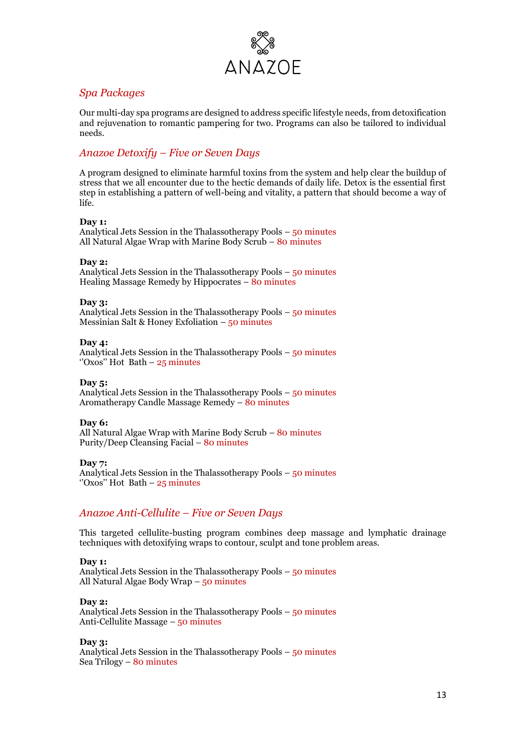

# *Spa Packages*

Our multi-day spa programs are designed to address specific lifestyle needs, from detoxification and rejuvenation to romantic pampering for two. Programs can also be tailored to individual needs.

# *Anazoe Detoxify – Five or Seven Days*

A program designed to eliminate harmful toxins from the system and help clear the buildup of stress that we all encounter due to the hectic demands of daily life. Detox is the essential first step in establishing a pattern of well-being and vitality, a pattern that should become a way of life.

### **Day 1:**

Analytical Jets Session in the Thalassotherapy Pools – 50 minutes All Natural Algae Wrap with Marine Body Scrub – 80 minutes

### **Day 2:**

Analytical Jets Session in the Thalassotherapy Pools – 50 minutes Healing Massage Remedy by Hippocrates – 80 minutes

### **Day 3:**

Analytical Jets Session in the Thalassotherapy Pools – 50 minutes Messinian Salt & Honey Exfoliation  $-50$  minutes

#### **Day 4:**

Analytical Jets Session in the Thalassotherapy Pools – 50 minutes "Oxos" Hot Bath –  $25$  minutes

#### **Day 5:**

Analytical Jets Session in the Thalassotherapy Pools – 50 minutes Aromatherapy Candle Massage Remedy – 80 minutes

#### **Day 6:**

All Natural Algae Wrap with Marine Body Scrub – 80 minutes Purity/Deep Cleansing Facial – 80 minutes

**Day 7:** Analytical Jets Session in the Thalassotherapy Pools – 50 minutes "Oxos" Hot Bath  $-25$  minutes

# *Anazoe Anti-Cellulite – Five or Seven Days*

This targeted cellulite-busting program combines deep massage and lymphatic drainage techniques with detoxifying wraps to contour, sculpt and tone problem areas.

#### **Day 1:**

Analytical Jets Session in the Thalassotherapy Pools – 50 minutes All Natural Algae Body Wrap – 50 minutes

#### **Day 2:**

Analytical Jets Session in the Thalassotherapy Pools – 50 minutes Anti-Cellulite Massage – 50 minutes

#### **Day 3:**

Analytical Jets Session in the Thalassotherapy Pools – 50 minutes Sea Trilogy – 80 minutes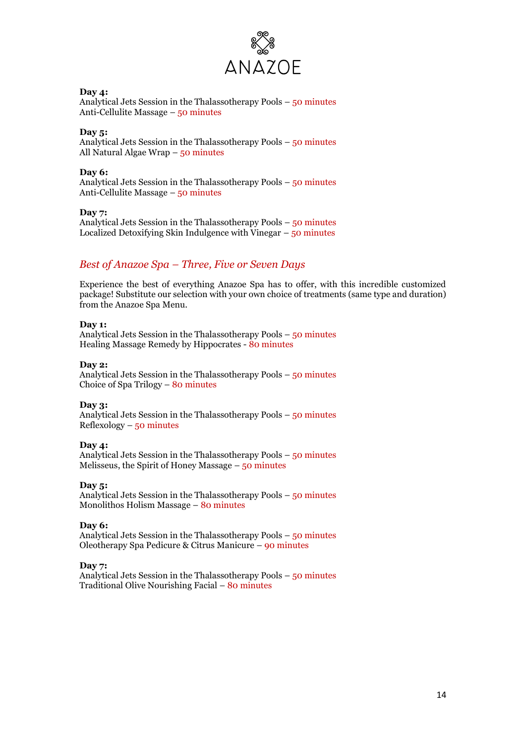

#### **Day 4:**

Analytical Jets Session in the Thalassotherapy Pools – 50 minutes Anti-Cellulite Massage – 50 minutes

**Day 5:** Analytical Jets Session in the Thalassotherapy Pools – 50 minutes All Natural Algae Wrap – 50 minutes

#### **Day 6:**

Analytical Jets Session in the Thalassotherapy Pools – 50 minutes Anti-Cellulite Massage – 50 minutes

**Day 7:** Analytical Jets Session in the Thalassotherapy Pools – 50 minutes Localized Detoxifying Skin Indulgence with Vinegar – 50 minutes

# *Best of Anazoe Spa – Three, Five or Seven Days*

Experience the best of everything Anazoe Spa has to offer, with this incredible customized package! Substitute our selection with your own choice of treatments (same type and duration) from the Anazoe Spa Menu.

### **Day 1:**

Analytical Jets Session in the Thalassotherapy Pools – 50 minutes Healing Massage Remedy by Hippocrates - 80 minutes

#### **Day 2:**

Analytical Jets Session in the Thalassotherapy Pools – 50 minutes Choice of Spa Trilogy – 80 minutes

#### **Day 3:**

Analytical Jets Session in the Thalassotherapy Pools – 50 minutes  $Reflexology - 50 minutes$ 

#### **Day 4:**

Analytical Jets Session in the Thalassotherapy Pools – 50 minutes Melisseus, the Spirit of Honey Massage  $-50$  minutes

#### **Day 5:**

Analytical Jets Session in the Thalassotherapy Pools – 50 minutes Monolithos Holism Massage – 80 minutes

## **Day 6:**

Analytical Jets Session in the Thalassotherapy Pools – 50 minutes Oleotherapy Spa Pedicure & Citrus Manicure – 90 minutes

#### **Day 7:**

Analytical Jets Session in the Thalassotherapy Pools – 50 minutes Traditional Olive Nourishing Facial – 80 minutes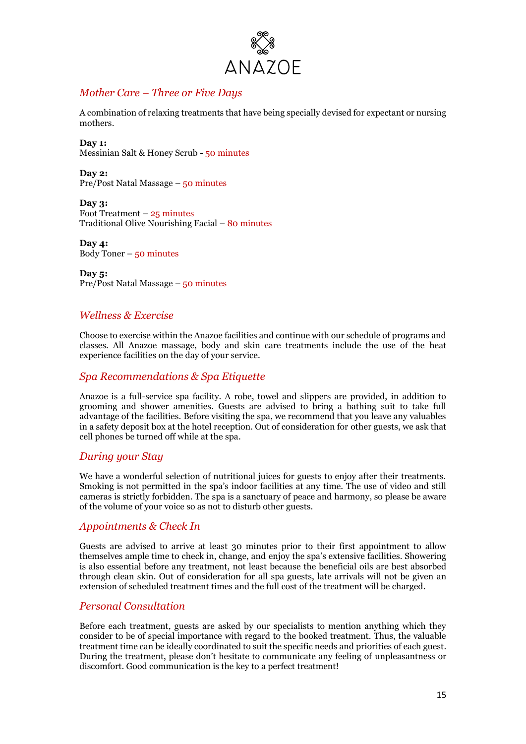

# *Mother Care – Three or Five Days*

A combination of relaxing treatments that have being specially devised for expectant or nursing mothers.

**Day 1:**  Messinian Salt & Honey Scrub - 50 minutes

**Day 2:** Pre/Post Natal Massage – 50 minutes

**Day 3:** Foot Treatment  $-25$  minutes Traditional Olive Nourishing Facial – 80 minutes

**Day 4:** Body Toner  $-50$  minutes

**Day 5:** Pre/Post Natal Massage – 50 minutes

## *Wellness & Exercise*

Choose to exercise within the Anazoe facilities and continue with our schedule of programs and classes. All Anazoe massage, body and skin care treatments include the use of the heat experience facilities on the day of your service.

## *Spa Recommendations & Spa Etiquette*

Anazoe is a full-service spa facility. A robe, towel and slippers are provided, in addition to grooming and shower amenities. Guests are advised to bring a bathing suit to take full advantage of the facilities. Before visiting the spa, we recommend that you leave any valuables in a safety deposit box at the hotel reception. Out of consideration for other guests, we ask that cell phones be turned off while at the spa.

# *During your Stay*

We have a wonderful selection of nutritional juices for guests to enjoy after their treatments. Smoking is not permitted in the spa's indoor facilities at any time. The use of video and still cameras is strictly forbidden. The spa is a sanctuary of peace and harmony, so please be aware of the volume of your voice so as not to disturb other guests.

# *Appointments & Check In*

Guests are advised to arrive at least 30 minutes prior to their first appointment to allow themselves ample time to check in, change, and enjoy the spa's extensive facilities. Showering is also essential before any treatment, not least because the beneficial oils are best absorbed through clean skin. Out of consideration for all spa guests, late arrivals will not be given an extension of scheduled treatment times and the full cost of the treatment will be charged.

# *Personal Consultation*

Before each treatment, guests are asked by our specialists to mention anything which they consider to be of special importance with regard to the booked treatment. Thus, the valuable treatment time can be ideally coordinated to suit the specific needs and priorities of each guest. During the treatment, please don't hesitate to communicate any feeling of unpleasantness or discomfort. Good communication is the key to a perfect treatment!